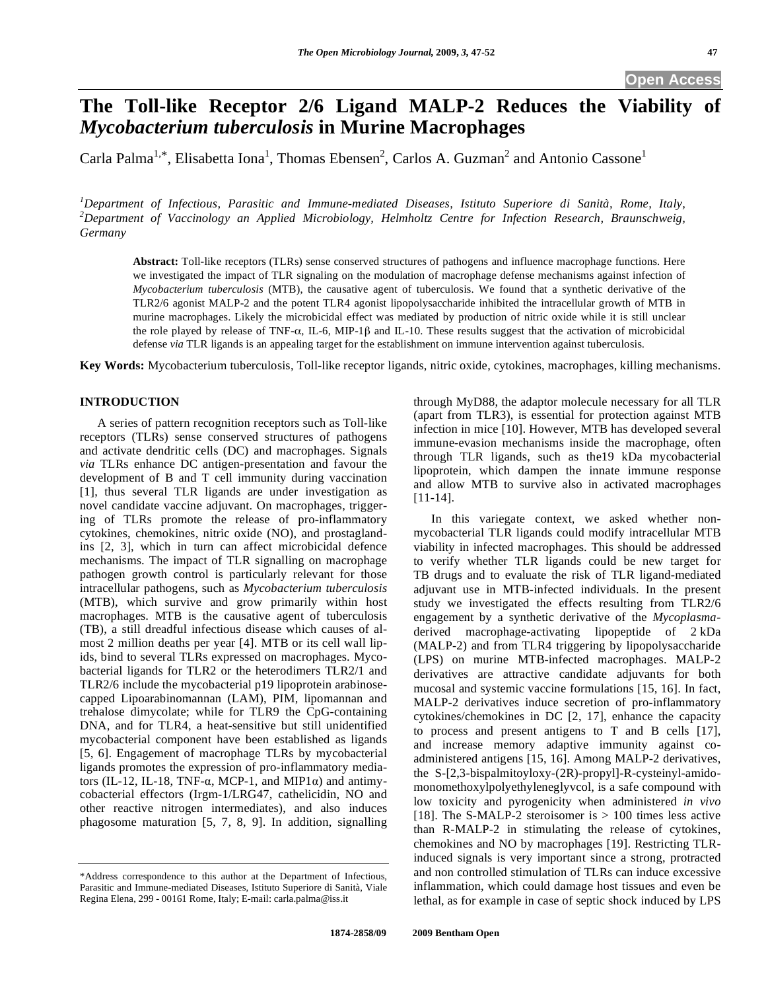# **The Toll-like Receptor 2/6 Ligand MALP-2 Reduces the Viability of**  *Mycobacterium tuberculosis* **in Murine Macrophages**

Carla Palma<sup>1,\*</sup>, Elisabetta Iona<sup>1</sup>, Thomas Ebensen<sup>2</sup>, Carlos A. Guzman<sup>2</sup> and Antonio Cassone<sup>1</sup>

*1 Department of Infectious, Parasitic and Immune-mediated Diseases, Istituto Superiore di Sanità, Rome, Italy, 2 Department of Vaccinology an Applied Microbiology, Helmholtz Centre for Infection Research, Braunschweig, Germany* 

**Abstract:** Toll-like receptors (TLRs) sense conserved structures of pathogens and influence macrophage functions. Here we investigated the impact of TLR signaling on the modulation of macrophage defense mechanisms against infection of *Mycobacterium tuberculosis* (MTB), the causative agent of tuberculosis. We found that a synthetic derivative of the TLR2/6 agonist MALP-2 and the potent TLR4 agonist lipopolysaccharide inhibited the intracellular growth of MTB in murine macrophages. Likely the microbicidal effect was mediated by production of nitric oxide while it is still unclear the role played by release of TNF- $\alpha$ , IL-6, MIP-1 $\beta$  and IL-10. These results suggest that the activation of microbicidal defense *via* TLR ligands is an appealing target for the establishment on immune intervention against tuberculosis.

**Key Words:** Mycobacterium tuberculosis, Toll-like receptor ligands, nitric oxide, cytokines, macrophages, killing mechanisms.

# **INTRODUCTION**

 A series of pattern recognition receptors such as Toll-like receptors (TLRs) sense conserved structures of pathogens and activate dendritic cells (DC) and macrophages. Signals *via* TLRs enhance DC antigen-presentation and favour the development of B and T cell immunity during vaccination [1], thus several TLR ligands are under investigation as novel candidate vaccine adjuvant. On macrophages, triggering of TLRs promote the release of pro-inflammatory cytokines, chemokines, nitric oxide (NO), and prostaglandins [2, 3], which in turn can affect microbicidal defence mechanisms. The impact of TLR signalling on macrophage pathogen growth control is particularly relevant for those intracellular pathogens, such as *Mycobacterium tuberculosis* (MTB), which survive and grow primarily within host macrophages. MTB is the causative agent of tuberculosis (TB), a still dreadful infectious disease which causes of almost 2 million deaths per year [4]. MTB or its cell wall lipids, bind to several TLRs expressed on macrophages. Mycobacterial ligands for TLR2 or the heterodimers TLR2/1 and TLR2/6 include the mycobacterial p19 lipoprotein arabinosecapped Lipoarabinomannan (LAM), PIM, lipomannan and trehalose dimycolate; while for TLR9 the CpG-containing DNA, and for TLR4, a heat-sensitive but still unidentified mycobacterial component have been established as ligands [5, 6]. Engagement of macrophage TLRs by mycobacterial ligands promotes the expression of pro-inflammatory mediators (IL-12, IL-18, TNF- $\alpha$ , MCP-1, and MIP1 $\alpha$ ) and antimycobacterial effectors (Irgm-1/LRG47, cathelicidin, NO and other reactive nitrogen intermediates), and also induces phagosome maturation [5, 7, 8, 9]. In addition, signalling

through MyD88, the adaptor molecule necessary for all TLR (apart from TLR3), is essential for protection against MTB infection in mice [10]. However, MTB has developed several immune-evasion mechanisms inside the macrophage, often through TLR ligands, such as the19 kDa mycobacterial lipoprotein, which dampen the innate immune response and allow MTB to survive also in activated macrophages [11-14].

 In this variegate context, we asked whether nonmycobacterial TLR ligands could modify intracellular MTB viability in infected macrophages. This should be addressed to verify whether TLR ligands could be new target for TB drugs and to evaluate the risk of TLR ligand-mediated adjuvant use in MTB-infected individuals. In the present study we investigated the effects resulting from TLR2/6 engagement by a synthetic derivative of the *Mycoplasma*derived macrophage-activating lipopeptide of 2 kDa (MALP-2) and from TLR4 triggering by lipopolysaccharide (LPS) on murine MTB-infected macrophages. MALP-2 derivatives are attractive candidate adjuvants for both mucosal and systemic vaccine formulations [15, 16]. In fact, MALP-2 derivatives induce secretion of pro-inflammatory cytokines/chemokines in DC [2, 17], enhance the capacity to process and present antigens to T and B cells [17], and increase memory adaptive immunity against coadministered antigens [15, 16]. Among MALP-2 derivatives, the S-[2,3-bispalmitoyloxy-(2R)-propyl]-R-cysteinyl-amidomonomethoxylpolyethyleneglyvcol, is a safe compound with low toxicity and pyrogenicity when administered *in vivo* [18]. The S-MALP-2 steroisomer is  $> 100$  times less active than R-MALP-2 in stimulating the release of cytokines, chemokines and NO by macrophages [19]. Restricting TLRinduced signals is very important since a strong, protracted and non controlled stimulation of TLRs can induce excessive inflammation, which could damage host tissues and even be lethal, as for example in case of septic shock induced by LPS

<sup>\*</sup>Address correspondence to this author at the Department of Infectious, Parasitic and Immune-mediated Diseases, Istituto Superiore di Sanità, Viale Regina Elena, 299 - 00161 Rome, Italy; E-mail: carla.palma@iss.it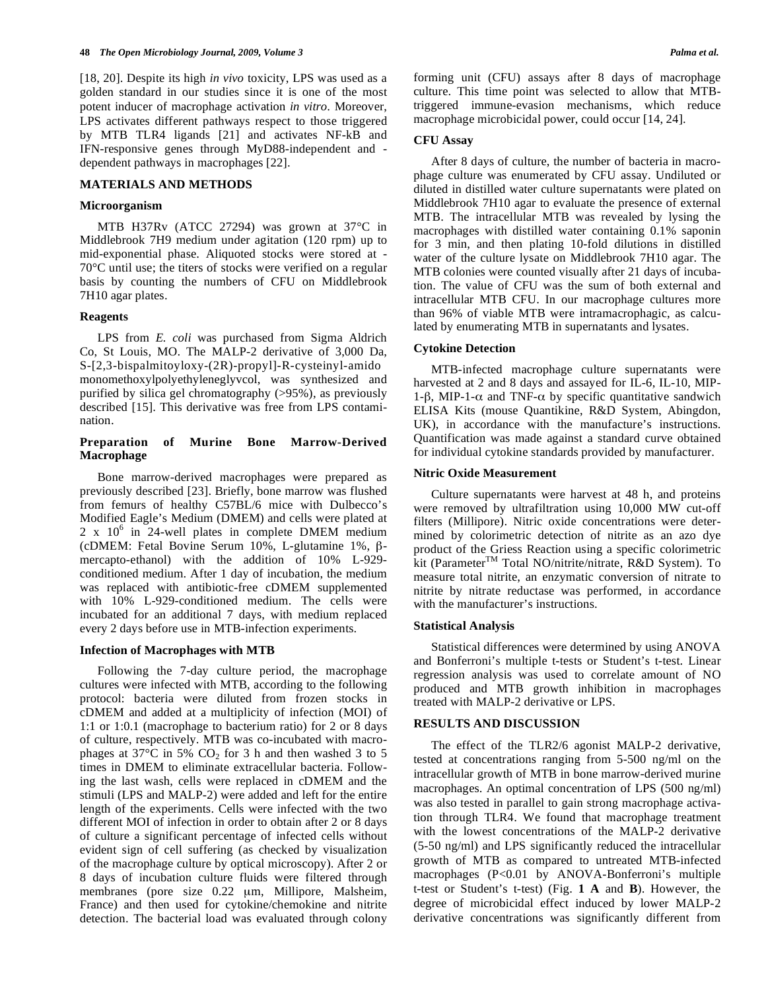[18, 20]. Despite its high *in vivo* toxicity, LPS was used as a golden standard in our studies since it is one of the most potent inducer of macrophage activation *in vitro*. Moreover, LPS activates different pathways respect to those triggered by MTB TLR4 ligands [21] and activates NF-kB and IFN-responsive genes through MyD88-independent and dependent pathways in macrophages [22].

## **MATERIALS AND METHODS**

## **Microorganism**

 MTB H37Rv (ATCC 27294) was grown at 37°C in Middlebrook 7H9 medium under agitation (120 rpm) up to mid-exponential phase. Aliquoted stocks were stored at - 70°C until use; the titers of stocks were verified on a regular basis by counting the numbers of CFU on Middlebrook 7H10 agar plates.

## **Reagents**

 LPS from *E. coli* was purchased from Sigma Aldrich Co, St Louis, MO. The MALP-2 derivative of 3,000 Da, S-[2,3-bispalmitoyloxy-(2R)-propyl]-R-cysteinyl-amido monomethoxylpolyethyleneglyvcol, was synthesized and purified by silica gel chromatography (>95%), as previously described [15]. This derivative was free from LPS contamination.

## **Preparation of Murine Bone Marrow-Derived Macrophage**

 Bone marrow-derived macrophages were prepared as previously described [23]. Briefly, bone marrow was flushed from femurs of healthy C57BL/6 mice with Dulbecco's Modified Eagle's Medium (DMEM) and cells were plated at  $2 \times 10^6$  in 24-well plates in complete DMEM medium (cDMEM: Fetal Bovine Serum 10%, L-glutamine 1%,  $\beta$ mercapto-ethanol) with the addition of 10% L-929 conditioned medium. After 1 day of incubation, the medium was replaced with antibiotic-free cDMEM supplemented with 10% L-929-conditioned medium. The cells were incubated for an additional 7 days, with medium replaced every 2 days before use in MTB-infection experiments.

#### **Infection of Macrophages with MTB**

 Following the 7-day culture period, the macrophage cultures were infected with MTB, according to the following protocol: bacteria were diluted from frozen stocks in cDMEM and added at a multiplicity of infection (MOI) of 1:1 or 1:0.1 (macrophage to bacterium ratio) for 2 or 8 days of culture, respectively. MTB was co-incubated with macrophages at  $37^{\circ}$ C in 5% CO<sub>2</sub> for 3 h and then washed 3 to 5 times in DMEM to eliminate extracellular bacteria. Following the last wash, cells were replaced in cDMEM and the stimuli (LPS and MALP-2) were added and left for the entire length of the experiments. Cells were infected with the two different MOI of infection in order to obtain after 2 or 8 days of culture a significant percentage of infected cells without evident sign of cell suffering (as checked by visualization of the macrophage culture by optical microscopy). After 2 or 8 days of incubation culture fluids were filtered through membranes (pore size 0.22 μm, Millipore, Malsheim, France) and then used for cytokine/chemokine and nitrite detection. The bacterial load was evaluated through colony forming unit (CFU) assays after 8 days of macrophage culture. This time point was selected to allow that MTBtriggered immune-evasion mechanisms, which reduce macrophage microbicidal power, could occur [14, 24].

#### **CFU Assay**

 After 8 days of culture, the number of bacteria in macrophage culture was enumerated by CFU assay. Undiluted or diluted in distilled water culture supernatants were plated on Middlebrook 7H10 agar to evaluate the presence of external MTB. The intracellular MTB was revealed by lysing the macrophages with distilled water containing 0.1% saponin for 3 min, and then plating 10-fold dilutions in distilled water of the culture lysate on Middlebrook 7H10 agar. The MTB colonies were counted visually after 21 days of incubation. The value of CFU was the sum of both external and intracellular MTB CFU. In our macrophage cultures more than 96% of viable MTB were intramacrophagic, as calculated by enumerating MTB in supernatants and lysates.

#### **Cytokine Detection**

 MTB-infected macrophage culture supernatants were harvested at 2 and 8 days and assayed for IL-6, IL-10, MIP-1- $\beta$ , MIP-1- $\alpha$  and TNF- $\alpha$  by specific quantitative sandwich ELISA Kits (mouse Quantikine, R&D System, Abingdon, UK), in accordance with the manufacture's instructions. Quantification was made against a standard curve obtained for individual cytokine standards provided by manufacturer.

## **Nitric Oxide Measurement**

 Culture supernatants were harvest at 48 h, and proteins were removed by ultrafiltration using 10,000 MW cut-off filters (Millipore). Nitric oxide concentrations were determined by colorimetric detection of nitrite as an azo dye product of the Griess Reaction using a specific colorimetric kit (Parameter<sup>TM</sup> Total NO/nitrite/nitrate, R&D System). To measure total nitrite, an enzymatic conversion of nitrate to nitrite by nitrate reductase was performed, in accordance with the manufacturer's instructions.

## **Statistical Analysis**

 Statistical differences were determined by using ANOVA and Bonferroni's multiple t-tests or Student's t-test. Linear regression analysis was used to correlate amount of NO produced and MTB growth inhibition in macrophages treated with MALP-2 derivative or LPS.

## **RESULTS AND DISCUSSION**

 The effect of the TLR2/6 agonist MALP-2 derivative, tested at concentrations ranging from 5-500 ng/ml on the intracellular growth of MTB in bone marrow-derived murine macrophages. An optimal concentration of LPS (500 ng/ml) was also tested in parallel to gain strong macrophage activation through TLR4. We found that macrophage treatment with the lowest concentrations of the MALP-2 derivative (5-50 ng/ml) and LPS significantly reduced the intracellular growth of MTB as compared to untreated MTB-infected macrophages (P<0.01 by ANOVA-Bonferroni's multiple t-test or Student's t-test) (Fig. **1 A** and **B**). However, the degree of microbicidal effect induced by lower MALP-2 derivative concentrations was significantly different from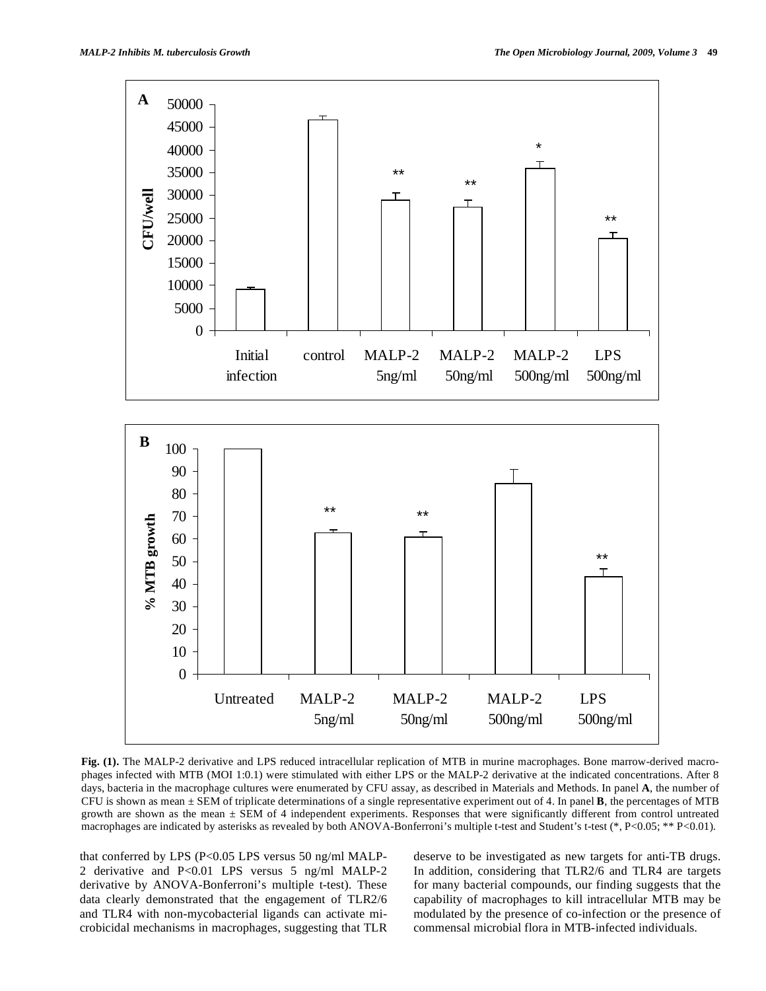

**Fig. (1).** The MALP-2 derivative and LPS reduced intracellular replication of MTB in murine macrophages. Bone marrow-derived macrophages infected with MTB (MOI 1:0.1) were stimulated with either LPS or the MALP-2 derivative at the indicated concentrations. After 8 days, bacteria in the macrophage cultures were enumerated by CFU assay, as described in Materials and Methods. In panel **A**, the number of CFU is shown as mean ± SEM of triplicate determinations of a single representative experiment out of 4. In panel **B**, the percentages of MTB growth are shown as the mean  $\pm$  SEM of 4 independent experiments. Responses that were significantly different from control untreated macrophages are indicated by asterisks as revealed by both ANOVA-Bonferroni's multiple t-test and Student's t-test (\*, P<0.05; \*\* P<0.01).

that conferred by LPS (P<0.05 LPS versus 50 ng/ml MALP-2 derivative and P<0.01 LPS versus 5 ng/ml MALP-2 derivative by ANOVA-Bonferroni's multiple t-test). These data clearly demonstrated that the engagement of TLR2/6 and TLR4 with non-mycobacterial ligands can activate microbicidal mechanisms in macrophages, suggesting that TLR deserve to be investigated as new targets for anti-TB drugs. In addition, considering that TLR2/6 and TLR4 are targets for many bacterial compounds, our finding suggests that the capability of macrophages to kill intracellular MTB may be modulated by the presence of co-infection or the presence of commensal microbial flora in MTB-infected individuals.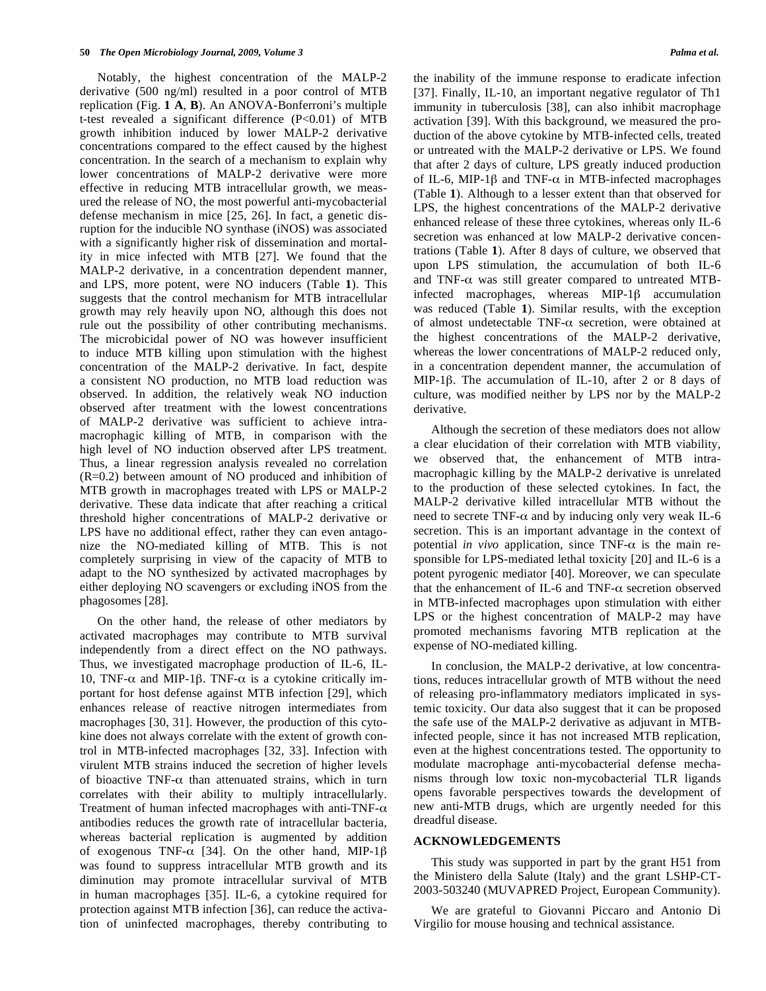Notably, the highest concentration of the MALP-2 derivative (500 ng/ml) resulted in a poor control of MTB replication (Fig. **1 A**, **B**). An ANOVA-Bonferroni's multiple t-test revealed a significant difference  $(P<0.01)$  of MTB growth inhibition induced by lower MALP-2 derivative concentrations compared to the effect caused by the highest concentration. In the search of a mechanism to explain why lower concentrations of MALP-2 derivative were more effective in reducing MTB intracellular growth, we measured the release of NO, the most powerful anti-mycobacterial defense mechanism in mice [25, 26]. In fact, a genetic disruption for the inducible NO synthase (iNOS) was associated with a significantly higher risk of dissemination and mortality in mice infected with MTB [27]. We found that the MALP-2 derivative, in a concentration dependent manner, and LPS, more potent, were NO inducers (Table **1**). This suggests that the control mechanism for MTB intracellular growth may rely heavily upon NO, although this does not rule out the possibility of other contributing mechanisms. The microbicidal power of NO was however insufficient to induce MTB killing upon stimulation with the highest concentration of the MALP-2 derivative. In fact, despite a consistent NO production, no MTB load reduction was observed. In addition, the relatively weak NO induction observed after treatment with the lowest concentrations of MALP-2 derivative was sufficient to achieve intramacrophagic killing of MTB, in comparison with the high level of NO induction observed after LPS treatment. Thus, a linear regression analysis revealed no correlation (R=0.2) between amount of NO produced and inhibition of MTB growth in macrophages treated with LPS or MALP-2 derivative. These data indicate that after reaching a critical threshold higher concentrations of MALP-2 derivative or LPS have no additional effect, rather they can even antagonize the NO-mediated killing of MTB. This is not completely surprising in view of the capacity of MTB to adapt to the NO synthesized by activated macrophages by either deploying NO scavengers or excluding iNOS from the phagosomes [28].

 On the other hand, the release of other mediators by activated macrophages may contribute to MTB survival independently from a direct effect on the NO pathways. Thus, we investigated macrophage production of IL-6, IL-10, TNF- $\alpha$  and MIP-1 $\beta$ . TNF- $\alpha$  is a cytokine critically important for host defense against MTB infection [29], which enhances release of reactive nitrogen intermediates from macrophages [30, 31]. However, the production of this cytokine does not always correlate with the extent of growth control in MTB-infected macrophages [32, 33]. Infection with virulent MTB strains induced the secretion of higher levels of bioactive TNF- $\alpha$  than attenuated strains, which in turn correlates with their ability to multiply intracellularly. Treatment of human infected macrophages with anti-TNF- $\alpha$ antibodies reduces the growth rate of intracellular bacteria, whereas bacterial replication is augmented by addition of exogenous TNF- $\alpha$  [34]. On the other hand, MIP-1 $\beta$ was found to suppress intracellular MTB growth and its diminution may promote intracellular survival of MTB in human macrophages [35]. IL-6, a cytokine required for protection against MTB infection [36], can reduce the activation of uninfected macrophages, thereby contributing to

the inability of the immune response to eradicate infection [37]. Finally, IL-10, an important negative regulator of Th1 immunity in tuberculosis [38], can also inhibit macrophage activation [39]. With this background, we measured the production of the above cytokine by MTB-infected cells, treated or untreated with the MALP-2 derivative or LPS. We found that after 2 days of culture, LPS greatly induced production of IL-6, MIP-1 $\beta$  and TNF- $\alpha$  in MTB-infected macrophages (Table **1**). Although to a lesser extent than that observed for LPS, the highest concentrations of the MALP-2 derivative enhanced release of these three cytokines, whereas only IL-6 secretion was enhanced at low MALP-2 derivative concentrations (Table **1**). After 8 days of culture, we observed that upon LPS stimulation, the accumulation of both IL-6 and TNF- $\alpha$  was still greater compared to untreated MTBinfected macrophages, whereas  $MIP-1\beta$  accumulation was reduced (Table **1**). Similar results, with the exception of almost undetectable TNF- $\alpha$  secretion, were obtained at the highest concentrations of the MALP-2 derivative, whereas the lower concentrations of MALP-2 reduced only, in a concentration dependent manner, the accumulation of MIP-1β. The accumulation of IL-10, after 2 or 8 days of culture, was modified neither by LPS nor by the MALP-2 derivative.

 Although the secretion of these mediators does not allow a clear elucidation of their correlation with MTB viability, we observed that, the enhancement of MTB intramacrophagic killing by the MALP-2 derivative is unrelated to the production of these selected cytokines. In fact, the MALP-2 derivative killed intracellular MTB without the need to secrete TNF- $\alpha$  and by inducing only very weak IL-6 secretion. This is an important advantage in the context of potential *in vivo* application, since  $TNF-\alpha$  is the main responsible for LPS-mediated lethal toxicity [20] and IL-6 is a potent pyrogenic mediator [40]. Moreover, we can speculate that the enhancement of IL-6 and TNF- $\alpha$  secretion observed in MTB-infected macrophages upon stimulation with either LPS or the highest concentration of MALP-2 may have promoted mechanisms favoring MTB replication at the expense of NO-mediated killing.

 In conclusion, the MALP-2 derivative, at low concentrations, reduces intracellular growth of MTB without the need of releasing pro-inflammatory mediators implicated in systemic toxicity. Our data also suggest that it can be proposed the safe use of the MALP-2 derivative as adjuvant in MTBinfected people, since it has not increased MTB replication, even at the highest concentrations tested. The opportunity to modulate macrophage anti-mycobacterial defense mechanisms through low toxic non-mycobacterial TLR ligands opens favorable perspectives towards the development of new anti-MTB drugs, which are urgently needed for this dreadful disease.

#### **ACKNOWLEDGEMENTS**

 This study was supported in part by the grant H51 from the Ministero della Salute (Italy) and the grant LSHP-CT-2003-503240 (MUVAPRED Project, European Community).

 We are grateful to Giovanni Piccaro and Antonio Di Virgilio for mouse housing and technical assistance.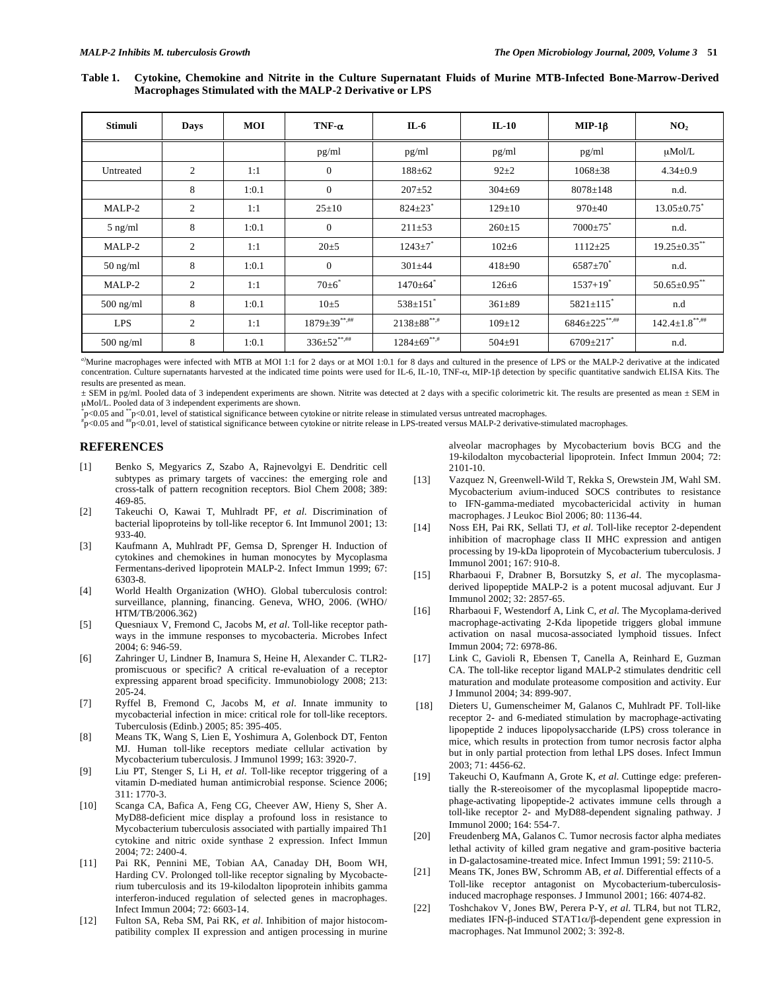**Table 1. Cytokine, Chemokine and Nitrite in the Culture Supernatant Fluids of Murine MTB-Infected Bone-Marrow-Derived Macrophages Stimulated with the MALP-2 Derivative or LPS** 

| Stimuli     | <b>Days</b>    | <b>MOI</b> | TNF- $\alpha$         | $IL-6$                     | $IL-10$      | $MIP-1\beta$                | NO <sub>2</sub>       |
|-------------|----------------|------------|-----------------------|----------------------------|--------------|-----------------------------|-----------------------|
|             |                |            | pg/ml                 | pg/ml                      | pg/ml        | pg/ml                       | $\mu$ Mol/L           |
| Untreated   | 2              | 1:1        | $\mathbf{0}$          | $188 + 62$                 | $92+2$       | $1068 \pm 38$               | $4.34 \pm 0.9$        |
|             | 8              | 1:0.1      | $\mathbf{0}$          | $207 + 52$                 | $304 \pm 69$ | $8078 \pm 148$              | n.d.                  |
| MALP-2      | $\overline{2}$ | 1:1        | $25 \pm 10$           | $824 \pm 23$ <sup>*</sup>  | $129 \pm 10$ | $970+40$                    | $13.05 \pm 0.75$      |
| $5$ ng/ml   | 8              | 1:0.1      | $\mathbf{0}$          | $211 \pm 53$               | $260 \pm 15$ | $7000 \pm 75$               | n.d.                  |
| MALP-2      | 2              | 1:1        | $20 + 5$              | $1243 \pm 7$ <sup>*</sup>  | $102 + 6$    | $1112 \pm 25$               | $19.25 \pm 0.35$ **   |
| $50$ ng/ml  | 8              | 1:0.1      | $\mathbf{0}$          | $301 + 44$                 | $418+90$     | $6587 \pm 70^{*}$           | n.d.                  |
| MALP-2      | 2              | 1:1        | $70\pm6$ <sup>*</sup> | $1470 \pm 64$ <sup>*</sup> | $126 \pm 6$  | $1537+19$ <sup>*</sup>      | $50.65 \pm 0.95$ **   |
| $500$ ng/ml | 8              | 1:0.1      | $10\pm 5$             | $538 \pm 151$ <sup>*</sup> | $361 \pm 89$ | $5821 \pm 115$ <sup>*</sup> | n.d                   |
| <b>LPS</b>  | $\overline{c}$ | 1:1        | $1879 \pm 39$ **,##   | $2138\pm88$ **,#           | $109 \pm 12$ | $6846 \pm 225$ **,##        | $142.4 \pm 1.8******$ |
| $500$ ng/ml | 8              | 1:0.1      | $336 \pm 52$ **,##    | $1284\pm 69$ **,#          | $504 + 91$   | $6709 + 217$                | n.d.                  |

*a)*Murine macrophages were infected with MTB at MOI 1:1 for 2 days or at MOI 1:0.1 for 8 days and cultured in the presence of LPS or the MALP-2 derivative at the indicated concentration. Culture supernatants harvested at the indicated time points were used for IL-6, IL-10, TNF- $\alpha$ , MIP-1 $\beta$  detection by specific quantitative sandwich ELISA Kits. The results are presented as mean.

± SEM in pg/ml. Pooled data of 3 independent experiments are shown. Nitrite was detected at 2 days with a specific colorimetric kit. The results are presented as mean ± SEM in μMol/L. Pooled data of 3 independent experiments are shown.

 $p<0.05$  and  $^{*}p<0.01$ , level of statistical significance between cytokine or nitrite release in stimulated versus untreated macrophages.<br>#2005 and #2001, level of statistical significance between cytoline or nitrite re

 $\mu_{\rm D}^*$  = 0.05 and  $\mu_{\rm D}^*$  = 0.01, level of statistical significance between cytokine or nitrite release in LPS-treated versus MALP-2 derivative-stimulated macrophages.

### **REFERENCES**

- [1] Benko S, Megyarics Z, Szabo A, Rajnevolgyi E. Dendritic cell subtypes as primary targets of vaccines: the emerging role and cross-talk of pattern recognition receptors. Biol Chem 2008; 389: 469-85.
- [2] Takeuchi O, Kawai T, Muhlradt PF, *et al*. Discrimination of bacterial lipoproteins by toll-like receptor 6. Int Immunol 2001; 13: 933-40.
- [3] Kaufmann A, Muhlradt PF, Gemsa D, Sprenger H. Induction of cytokines and chemokines in human monocytes by Mycoplasma Fermentans-derived lipoprotein MALP-2. Infect Immun 1999; 67: 6303-8.
- [4] World Health Organization (WHO). Global tuberculosis control: surveillance, planning, financing. Geneva, WHO, 2006. (WHO/ HTM/TB/2006.362)
- [5] Quesniaux V, Fremond C, Jacobs M, *et al*. Toll-like receptor pathways in the immune responses to mycobacteria. Microbes Infect 2004; 6: 946-59.
- [6] Zahringer U, Lindner B, Inamura S, Heine H, Alexander C. TLR2 promiscuous or specific? A critical re-evaluation of a receptor expressing apparent broad specificity. Immunobiology 2008; 213: 205-24.
- [7] Ryffel B, Fremond C, Jacobs M, *et al*. Innate immunity to mycobacterial infection in mice: critical role for toll-like receptors. Tuberculosis (Edinb.) 2005; 85: 395-405.
- [8] Means TK, Wang S, Lien E, Yoshimura A, Golenbock DT, Fenton MJ. Human toll-like receptors mediate cellular activation by Mycobacterium tuberculosis. J Immunol 1999; 163: 3920-7.
- [9] Liu PT, Stenger S, Li H, *et al*. Toll-like receptor triggering of a vitamin D-mediated human antimicrobial response. Science 2006; 311: 1770-3.
- [10] Scanga CA, Bafica A, Feng CG, Cheever AW, Hieny S, Sher A. MyD88-deficient mice display a profound loss in resistance to Mycobacterium tuberculosis associated with partially impaired Th1 cytokine and nitric oxide synthase 2 expression. Infect Immun 2004; 72: 2400-4.
- [11] Pai RK, Pennini ME, Tobian AA, Canaday DH, Boom WH, Harding CV. Prolonged toll-like receptor signaling by Mycobacterium tuberculosis and its 19-kilodalton lipoprotein inhibits gamma interferon-induced regulation of selected genes in macrophages. Infect Immun 2004; 72: 6603-14.
- [12] Fulton SA, Reba SM, Pai RK, *et al*. Inhibition of major histocompatibility complex II expression and antigen processing in murine

alveolar macrophages by Mycobacterium bovis BCG and the 19-kilodalton mycobacterial lipoprotein. Infect Immun 2004; 72: 2101-10.

- [13] Vazquez N, Greenwell-Wild T, Rekka S, Orewstein JM, Wahl SM. Mycobacterium avium-induced SOCS contributes to resistance to IFN-gamma-mediated mycobactericidal activity in human macrophages. J Leukoc Biol 2006; 80: 1136-44.
- [14] Noss EH, Pai RK, Sellati TJ, *et al*. Toll-like receptor 2-dependent inhibition of macrophage class II MHC expression and antigen processing by 19-kDa lipoprotein of Mycobacterium tuberculosis. J Immunol 2001; 167: 910-8.
- [15] Rharbaoui F, Drabner B, Borsutzky S, *et al*. The mycoplasmaderived lipopeptide MALP-2 is a potent mucosal adjuvant. Eur J Immunol 2002; 32: 2857-65.
- [16] Rharbaoui F, Westendorf A, Link C, *et al*. The Mycoplama-derived macrophage-activating 2-Kda lipopetide triggers global immune activation on nasal mucosa-associated lymphoid tissues. Infect Immun 2004; 72: 6978-86.
- [17] Link C, Gavioli R, Ebensen T, Canella A, Reinhard E, Guzman CA. The toll-like receptor ligand MALP-2 stimulates dendritic cell maturation and modulate proteasome composition and activity. Eur J Immunol 2004; 34: 899-907.
- [18] Dieters U, Gumenscheimer M, Galanos C, Muhlradt PF. Toll-like receptor 2- and 6-mediated stimulation by macrophage-activating lipopeptide 2 induces lipopolysaccharide (LPS) cross tolerance in mice, which results in protection from tumor necrosis factor alpha but in only partial protection from lethal LPS doses. Infect Immun 2003; 71: 4456-62.
- [19] Takeuchi O, Kaufmann A, Grote K, *et al*. Cuttinge edge: preferentially the R-stereoisomer of the mycoplasmal lipopeptide macrophage-activating lipopeptide-2 activates immune cells through a toll-like receptor 2- and MyD88-dependent signaling pathway. J Immunol 2000; 164: 554-7.
- [20] Freudenberg MA, Galanos C. Tumor necrosis factor alpha mediates lethal activity of killed gram negative and gram-positive bacteria in D-galactosamine-treated mice. Infect Immun 1991; 59: 2110-5.
- [21] Means TK, Jones BW, Schromm AB, *et al*. Differential effects of a Toll-like receptor antagonist on Mycobacterium-tuberculosisinduced macrophage responses. J Immunol 2001; 166: 4074-82.
- [22] Toshchakov V, Jones BW, Perera P-Y, *et al*. TLR4, but not TLR2, mediates IFN- $\beta$ -induced STAT1 $\alpha/\beta$ -dependent gene expression in macrophages. Nat Immunol 2002; 3: 392-8.